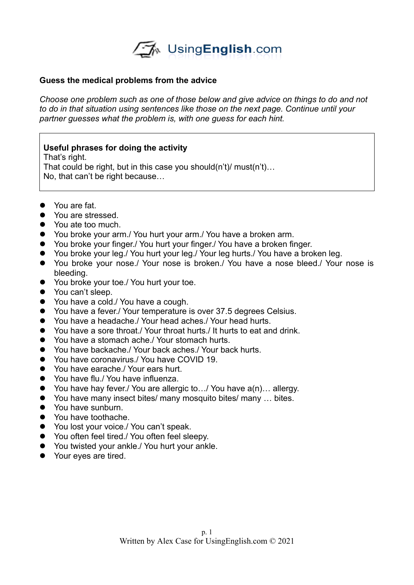

## **Guess the medical problems from the advice**

*Choose one problem such as one of those below and give advice on things to do and not to do in that situation using sentences like those on the next page. Continue until your partner guesses what the problem is, with one guess for each hint.* 

## **Useful phrases for doing the activity**

That's right.

That could be right, but in this case you should(n't)/ must(n't)… No, that can't be right because…

- **•** You are fat.
- You are stressed.
- You ate too much.
- You broke your arm./ You hurt your arm./ You have a broken arm.
- You broke your finger./ You hurt your finger./ You have a broken finger.
- You broke your leg./ You hurt your leg./ Your leg hurts./ You have a broken leg.
- You broke your nose./ Your nose is broken./ You have a nose bleed./ Your nose is bleeding.
- You broke your toe./ You hurt your toe.
- You can't sleep.
- You have a cold./ You have a cough.
- You have a fever./ Your temperature is over 37.5 degrees Celsius.
- You have a headache./ Your head aches./ Your head hurts.
- You have a sore throat./ Your throat hurts./ It hurts to eat and drink.
- You have a stomach ache./ Your stomach hurts.
- You have backache./ Your back aches./ Your back hurts.
- You have coronavirus./ You have COVID 19.
- You have earache./ Your ears hurt.
- You have flu./ You have influenza.
- You have hay fever./ You are allergic to.../ You have a(n)... allergy.
- You have many insect bites/ many mosquito bites/ many ... bites.
- You have sunburn
- You have toothache.
- You lost your voice./ You can't speak.
- You often feel tired./ You often feel sleepy.
- You twisted your ankle./ You hurt your ankle.
- Your eyes are tired.